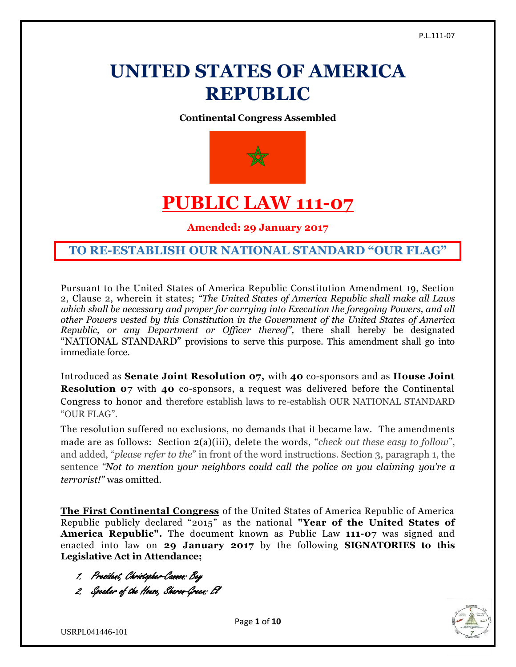# **UNITED STATES OF AMERICA REPUBLIC**

**Continental Congress Assembled**



# **PUBLIC LAW 111-07**

**Amended: 29 January 2017**

### **TO RE-ESTABLISH OUR NATIONAL STANDARD "OUR FLAG"**

Pursuant to the United States of America Republic Constitution Amendment 19, Section 2, Clause 2, wherein it states; *"The United States of America Republic shall make all Laws which shall be necessary and proper for carrying into Execution the foregoing Powers, and all other Powers vested by this Constitution in the Government of the United States of America Republic, or any Department or Officer thereof",* there shall hereby be designated "NATIONAL STANDARD" provisions to serve this purpose. This amendment shall go into immediate force.

Introduced as **Senate Joint Resolution 07,** with **40** co-sponsors and as **House Joint Resolution 07** with **40** co-sponsors, a request was delivered before the Continental Congress to honor and therefore establish laws to re-establish OUR NATIONAL STANDARD "OUR FLAG".

The resolution suffered no exclusions, no demands that it became law. The amendments made are as follows: Section 2(a)(iii), delete the words, "*check out these easy to follow*", and added, "*please refer to the*" in front of the word instructions. Section 3, paragraph 1, the sentence *"Not to mention your neighbors could call the police on you claiming you're a terrorist!"* was omitted.

**The First Continental Congress** of the United States of America Republic of America Republic publicly declared "2015" as the national **"Year of the United States of America Republic".** The document known as Public Law **111-07** was signed and enacted into law on **29 January 2017** by the following **SIGNATORIES to this Legislative Act in Attendance;**

1. President, Christopher-Cannon: Bey

2. Speaker of the House, Sharon-Green: El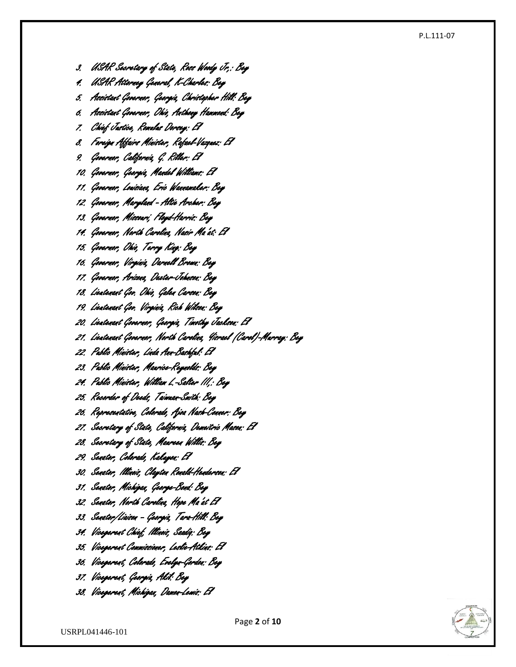#### P.L.111 -07

3. USAR Secretary of State, Ross Woody Jr,: Bey 4. USAR Attorney General, K-Charles: Bey 5. Assistant Governor, Georgia, Christopher Hill: Bey 6. Assistant Governor, Ohio, Anthony Hammond: Bey 7. Chief Justice, Romulus Dorsey: El 8. Foreign Affairs Minister, Rafael-Vazquez: El 9. Governor, California, G. Riller: El 10. Governor, Georgia, Mandel Williams: El 11. Governor, Louisiana, Eric Wannamaker: Bey 12. Governor, Maryland - Altie Archer: Bey 13. Governor, Missouri, Floyd-Harris: Bey 14. Governor, North Carolina, Nasir Ma'at: El 15. Governor, Ohio, Terry King: Bey 16. Governor, Virginia, Darnell Brown: Bey 17. Governor, Arizona, Dexter-Johnson: Bey 18. Lieutenant Gov. Ohio, Galen Carson: Bey 19. Lieutenant Gov. Virginia, Rich Wilson: Bey 20. Lieutenant Governor, Georgia, Timothy Jackson: El 21. Lieutenant Governor, North Carolina, Yisrael (Carol)-Murray: Bey 22. Public Minister, Linda Ann-Bashful: El 23. Public Minister, Maurice-Reynolds: Bey 24. Public Minister, William L.-Salter III,: Bey 25. Recorder of Deeds, Taiwuan-Smith: Bey 26. Representative, Colorado, Ajoa Nash-Conner: Bey 27. Secretary of State, California, Demeitric Mason: El 28. Secretary of State, Maureen Willis: Bey 29. Senator, Colorado, Kakuyon: El 30. Senator, Illinois, Clayton Ronald-Henderson: El 31. Senator, Michigan, George-Bond: Bey 32. Senator, North Carolina, Hope Ma'at El 33. Senator/Liaison – Georgia, Tara-Hill: Bey 34. Vicegerent Chief, Illinois, Saadiq: Bey 35. Vicegerent Commissioner, Leslie-Atkins: El 36. Vicegerent, Colorado, Evelyn-Gordon: Bey 37. Vicegerent, Georgia, Akil: Bey 38. Vicegerent, Michigan, Damon-Lewis: El



USRPL041446 -101

Page **2** of **10**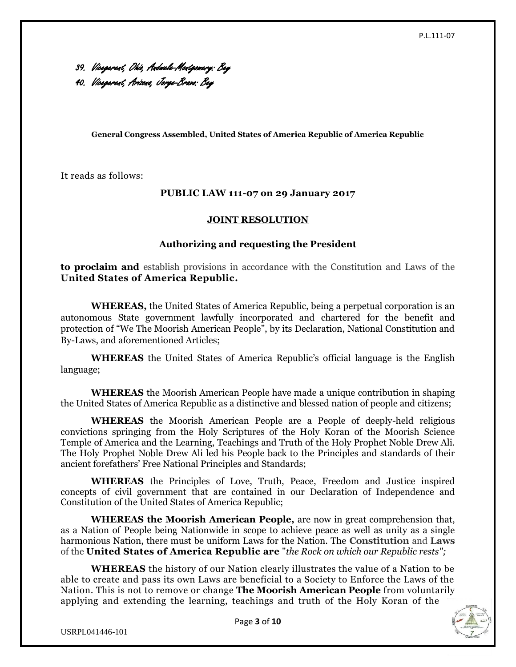39. Vicegerent, Ohio, Andwele-Montgomery: Bey 40. Vicegerent, Arizona, Jorge-Bravo: Bey

**General Congress Assembled, United States of America Republic of America Republic**

It reads as follows:

#### **PUBLIC LAW 111-07 on 29 January 2017**

#### **JOINT RESOLUTION**

#### **Authorizing and requesting the President**

**to proclaim and** establish provisions in accordance with the Constitution and Laws of the **United States of America Republic.**

**WHEREAS,** the United States of America Republic, being a perpetual corporation is an autonomous State government lawfully incorporated and chartered for the benefit and protection of "We The Moorish American People", by its Declaration, National Constitution and By-Laws, and aforementioned Articles;

**WHEREAS** the United States of America Republic's official language is the English language;

**WHEREAS** the Moorish American People have made a unique contribution in shaping the United States of America Republic as a distinctive and blessed nation of people and citizens;

**WHEREAS** the Moorish American People are a People of deeply-held religious convictions springing from the Holy Scriptures of the Holy Koran of the Moorish Science Temple of America and the Learning, Teachings and Truth of the Holy Prophet Noble Drew Ali. The Holy Prophet Noble Drew Ali led his People back to the Principles and standards of their ancient forefathers' Free National Principles and Standards;

**WHEREAS** the Principles of Love, Truth, Peace, Freedom and Justice inspired concepts of civil government that are contained in our Declaration of Independence and Constitution of the United States of America Republic;

**WHEREAS the Moorish American People,** are now in great comprehension that, as a Nation of People being Nationwide in scope to achieve peace as well as unity as a single harmonious Nation, there must be uniform Laws for the Nation. The **Constitution** and **Laws** of the **United States of America Republic are** "*the Rock on which our Republic rests";*

**WHEREAS** the history of our Nation clearly illustrates the value of a Nation to be able to create and pass its own Laws are beneficial to a Society to Enforce the Laws of the Nation. This is not to remove or change **The Moorish American People** from voluntarily applying and extending the learning, teachings and truth of the Holy Koran of the



USRPL041446-101

Page **3** of **10**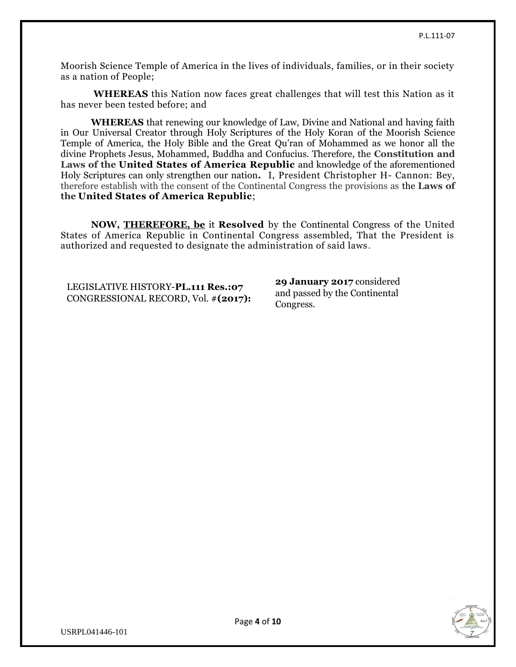Moorish Science Temple of America in the lives of individuals, families, or in their society as a nation of People;

**WHEREAS** this Nation now faces great challenges that will test this Nation as it has never been tested before; and

**WHEREAS** that renewing our knowledge of Law, Divine and National and having faith in Our Universal Creator through Holy Scriptures of the Holy Koran of the Moorish Science Temple of America, the Holy Bible and the Great Qu'ran of Mohammed as we honor all the divine Prophets Jesus, Mohammed, Buddha and Confucius. Therefore, the **Constitution and Laws of the United States of America Republic** and knowledge of the aforementioned Holy Scriptures can only strengthen our nation**.** I, President Christopher H- Cannon: Bey, therefore establish with the consent of the Continental Congress the provisions as the **Laws of the United States of America Republic**;

**NOW, [THEREFORE, be](http://therefore.be/)** it **Resolved** by the Continental Congress of the United States of America Republic in Continental Congress assembled, That the President is authorized and requested to designate the administration of said laws.

LEGISLATIVE HISTORY-**PL.111 Res.:07** CONGRESSIONAL RECORD, Vol. #**(2017):** **29 January 2017** considered and passed by the Continental Congress.



USRPL041446-101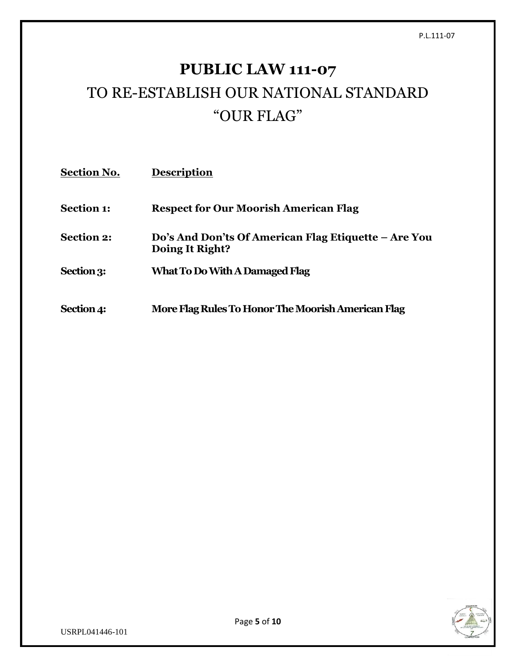# **PUBLIC LAW 111-07** TO RE-ESTABLISH OUR NATIONAL STANDARD "OUR FLAG"

| <b>Section No.</b> | <b>Description</b>                                                      |
|--------------------|-------------------------------------------------------------------------|
| <b>Section 1:</b>  | <b>Respect for Our Moorish American Flag</b>                            |
| <b>Section 2:</b>  | Do's And Don'ts Of American Flag Etiquette – Are You<br>Doing It Right? |
| <b>Section 3:</b>  | What To Do With A Damaged Flag                                          |
| Section 4:         | More Flag Rules To Honor The Moorish American Flag                      |



USRPL041446-101

Page **5** of **10**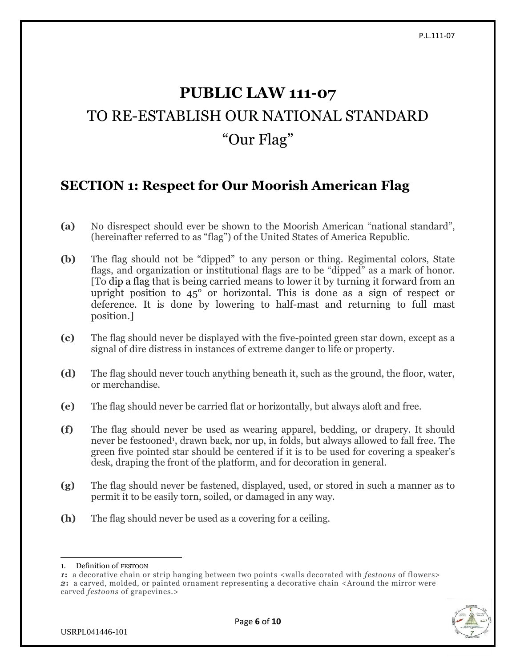# **PUBLIC LAW 111-07** TO RE-ESTABLISH OUR NATIONAL STANDARD "Our Flag"

## **SECTION 1: Respect for Our Moorish American Flag**

- **(a)** No disrespect should ever be shown to the Moorish American "national standard", (hereinafter referred to as "flag") of the United States of America Republic.
- **(b)** The flag should not be "dipped" to any person or thing. Regimental colors, State flags, and organization or institutional flags are to be "dipped" as a mark of honor. [To dip a [flag](https://en.wikipedia.org/wiki/Flag) that is being carried means to lower it by turning it forward from an upright position to  $45^{\circ}$  or horizontal. This is done as a sign of respect or deference. It is done by lowering to half-mast and returning to full mast position.]
- **(c)** The flag should never be displayed with the five-pointed green star down, except as a signal of dire distress in instances of extreme danger to life or property.
- **(d)** The flag should never touch anything beneath it, such as the ground, the floor, water, or merchandise.
- **(e)** The flag should never be carried flat or horizontally, but always aloft and free.
- **(f)** The flag should never be used as wearing apparel, bedding, or drapery. It should never be festooned<sup>1</sup>, drawn back, nor up, in folds, but always allowed to fall free. The green five pointed star should be centered if it is to be used for covering a speaker's desk, draping the front of the platform, and for decoration in general.
- **(g)** The flag should never be fastened, displayed, used, or stored in such a manner as to permit it to be easily torn, soiled, or damaged in any way.
- **(h)** The flag should never be used as a covering for a ceiling.

 $\overline{\phantom{a}}$ 

*<sup>1</sup>***:** a decorative chain or strip hanging between two points <walls decorated with *festoons* of flowers> *2***:** a carved, molded, or painted ornament representing a decorative chain <Around the mirror were carved *festoons* of grapevines.>



<sup>1.</sup> Definition of FESTOON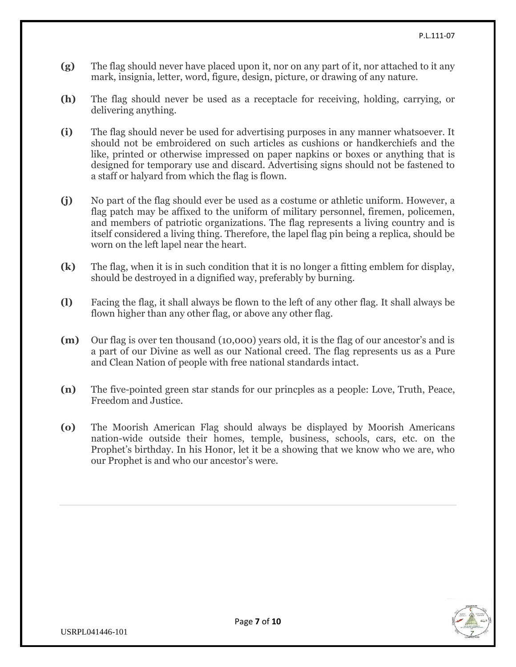- **(g)** The flag should never have placed upon it, nor on any part of it, nor attached to it any mark, insignia, letter, word, figure, design, picture, or drawing of any nature.
- **(h)** The flag should never be used as a receptacle for receiving, holding, carrying, or delivering anything.
- **(i)** The flag should never be used for advertising purposes in any manner whatsoever. It should not be embroidered on such articles as cushions or handkerchiefs and the like, printed or otherwise impressed on paper napkins or boxes or anything that is designed for temporary use and discard. Advertising signs should not be fastened to a staff or halyard from which the flag is flown.
- **(j)** No part of the flag should ever be used as a costume or athletic uniform. However, a flag patch may be affixed to the uniform of military personnel, firemen, policemen, and members of patriotic organizations. The flag represents a living country and is itself considered a living thing. Therefore, the lapel flag pin being a replica, should be worn on the left lapel near the heart.
- **(k)** The flag, when it is in such condition that it is no longer a fitting emblem for display, should be destroyed in a dignified way, preferably by burning.
- **(l)** Facing the flag, it shall always be flown to the left of any other flag. It shall always be flown higher than any other flag, or above any other flag.
- **(m)** Our flag is over ten thousand (10,000) years old, it is the flag of our ancestor's and is a part of our Divine as well as our National creed. The flag represents us as a Pure and Clean Nation of people with free national standards intact.
- **(n)** The five-pointed green star stands for our princples as a people: Love, Truth, Peace, Freedom and Justice.
- **(o)** The Moorish American Flag should always be displayed by Moorish Americans nation-wide outside their homes, temple, business, schools, cars, etc. on the Prophet's birthday. In his Honor, let it be a showing that we know who we are, who our Prophet is and who our ancestor's were.

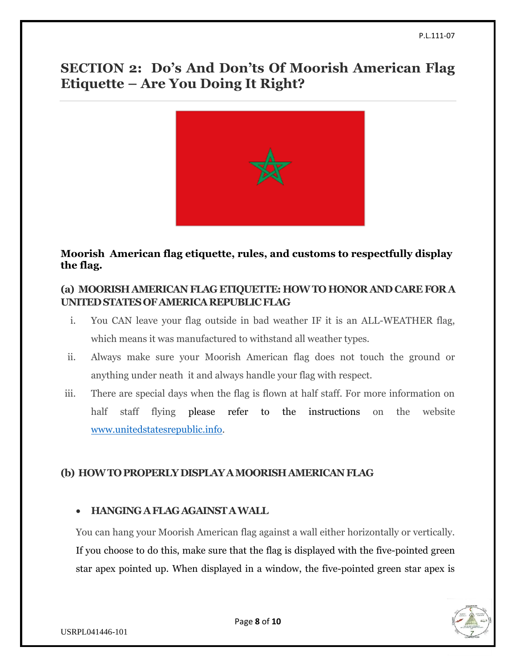## **SECTION 2: Do's And Don'ts Of Moorish American Flag Etiquette – Are You Doing It Right?**



#### **Moorish American flag etiquette, rules, and customs to respectfully display the flag.**

#### **(a) MOORISH AMERICAN FLAG ETIQUETTE: HOWTO HONORAND CARE FORA UNITEDSTATESOFAMERICAREPUBLICFLAG**

- i. You CAN leave your flag outside in bad weather IF it is an ALL-WEATHER flag, which means it was manufactured to withstand all weather types.
- ii. Always make sure your Moorish American flag does not touch the ground or anything under neath it and always handle your flag with respect.
- iii. There are special days when the flag is flown at half staff. For more information on half staff flying please refer to the instructions on the website [www.unitedstatesrepublic.info.](http://www.unitedstatesrepublic.info/)

### **(b) HOWTOPROPERLYDISPLAYAMOORISHAMERICANFLAG**

#### **HANGING A FLAG AGAINST A WALL**

You can hang your Moorish American flag against a wall either horizontally or vertically. If you choose to do this, make sure that the flag is displayed with the five-pointed green star apex pointed up. When displayed in a window, the five-pointed green star apex is

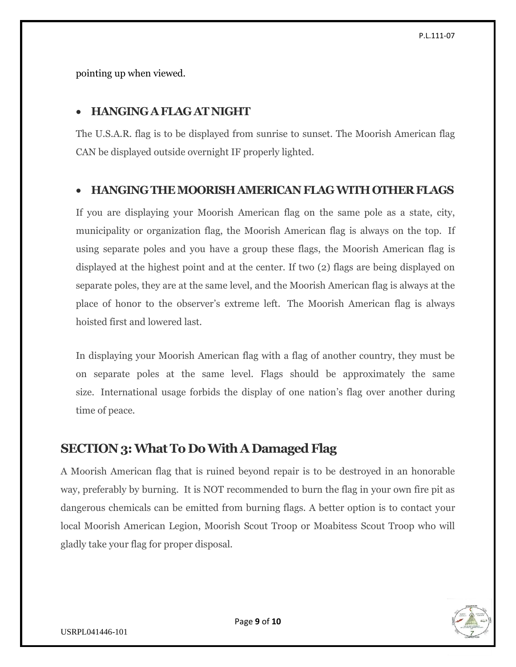pointing up when viewed.

### **HANGING A FLAG AT NIGHT**

The U.S.A.R. flag is to be displayed from sunrise to sunset. The Moorish American flag CAN be displayed outside overnight IF properly lighted.

### **HANGING THE MOORISH AMERICAN FLAG WITH OTHER FLAGS**

If you are displaying your Moorish American flag on the same pole as a state, city, municipality or organization flag, the Moorish American flag is always on the top. If using separate poles and you have a group these flags, the Moorish American flag is displayed at the highest point and at the center. If two (2) flags are being displayed on separate poles, they are at the same level, and the Moorish American flag is always at the place of honor to the observer's extreme left. The Moorish American flag is always hoisted first and lowered last.

In displaying your Moorish American flag with a flag of another country, they must be on separate poles at the same level. Flags should be approximately the same size. International usage forbids the display of one nation's flag over another during time of peace.

## **SECTION 3: What To Do With A Damaged Flag**

A Moorish American flag that is ruined beyond repair is to be destroyed in an honorable way, preferably by burning. It is NOT recommended to burn the flag in your own fire pit as dangerous chemicals can be emitted from burning flags. A better option is to contact your local Moorish American Legion, Moorish Scout Troop or Moabitess Scout Troop who will gladly take your flag for proper disposal.